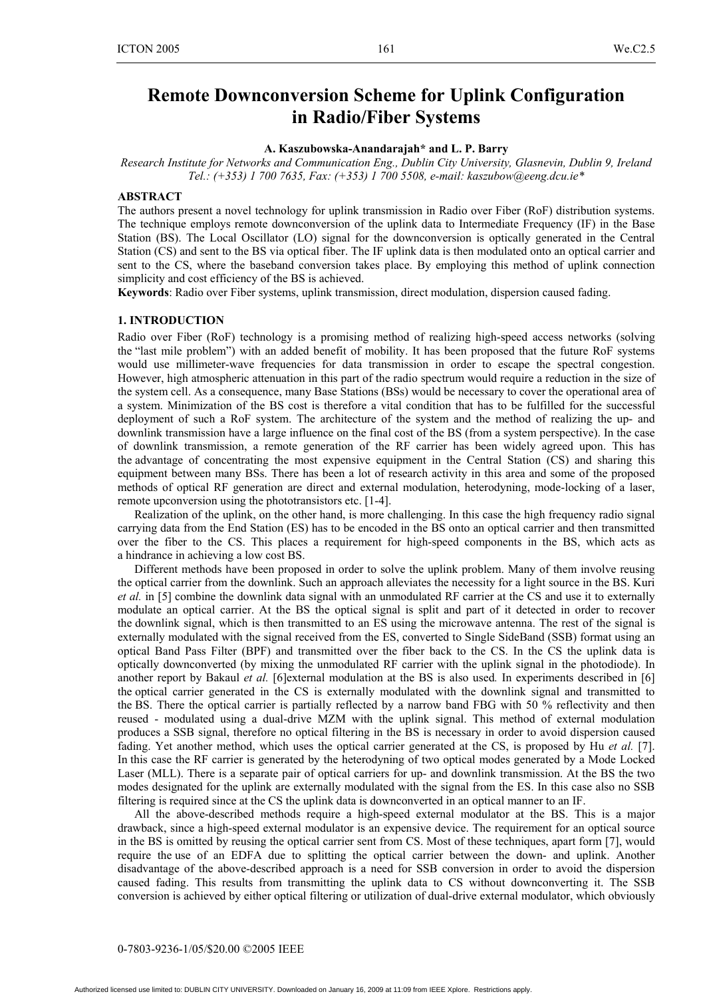# **Remote Downconversion Scheme for Uplink Configuration in Radio/Fiber Systems**

### **A. Kaszubowska-Anandarajah\* and L. P. Barry**

*Research Institute for Networks and Communication Eng., Dublin City University, Glasnevin, Dublin 9, Ireland Tel.: (+353) 1 700 7635, Fax: (+353) 1 700 5508, e-mail: kaszubow@eeng.dcu.ie\** 

## **ABSTRACT**

The authors present a novel technology for uplink transmission in Radio over Fiber (RoF) distribution systems. The technique employs remote downconversion of the uplink data to Intermediate Frequency (IF) in the Base Station (BS). The Local Oscillator (LO) signal for the downconversion is optically generated in the Central Station (CS) and sent to the BS via optical fiber. The IF uplink data is then modulated onto an optical carrier and sent to the CS, where the baseband conversion takes place. By employing this method of uplink connection simplicity and cost efficiency of the BS is achieved.

**Keywords**: Radio over Fiber systems, uplink transmission, direct modulation, dispersion caused fading.

# **1. INTRODUCTION**

Radio over Fiber (RoF) technology is a promising method of realizing high-speed access networks (solving the "last mile problem") with an added benefit of mobility. It has been proposed that the future RoF systems would use millimeter-wave frequencies for data transmission in order to escape the spectral congestion. However, high atmospheric attenuation in this part of the radio spectrum would require a reduction in the size of the system cell. As a consequence, many Base Stations (BSs) would be necessary to cover the operational area of a system. Minimization of the BS cost is therefore a vital condition that has to be fulfilled for the successful deployment of such a RoF system. The architecture of the system and the method of realizing the up- and downlink transmission have a large influence on the final cost of the BS (from a system perspective). In the case of downlink transmission, a remote generation of the RF carrier has been widely agreed upon. This has the advantage of concentrating the most expensive equipment in the Central Station (CS) and sharing this equipment between many BSs. There has been a lot of research activity in this area and some of the proposed methods of optical RF generation are direct and external modulation, heterodyning, mode-locking of a laser, remote upconversion using the phototransistors etc. [1-4].

Realization of the uplink, on the other hand, is more challenging. In this case the high frequency radio signal carrying data from the End Station (ES) has to be encoded in the BS onto an optical carrier and then transmitted over the fiber to the CS. This places a requirement for high-speed components in the BS, which acts as a hindrance in achieving a low cost BS.

Different methods have been proposed in order to solve the uplink problem. Many of them involve reusing the optical carrier from the downlink. Such an approach alleviates the necessity for a light source in the BS. Kuri *et al.* in [5] combine the downlink data signal with an unmodulated RF carrier at the CS and use it to externally modulate an optical carrier. At the BS the optical signal is split and part of it detected in order to recover the downlink signal, which is then transmitted to an ES using the microwave antenna. The rest of the signal is externally modulated with the signal received from the ES, converted to Single SideBand (SSB) format using an optical Band Pass Filter (BPF) and transmitted over the fiber back to the CS. In the CS the uplink data is optically downconverted (by mixing the unmodulated RF carrier with the uplink signal in the photodiode). In another report by Bakaul *et al.* [6]external modulation at the BS is also used*.* In experiments described in [6] the optical carrier generated in the CS is externally modulated with the downlink signal and transmitted to the BS. There the optical carrier is partially reflected by a narrow band FBG with 50 % reflectivity and then reused - modulated using a dual-drive MZM with the uplink signal. This method of external modulation produces a SSB signal, therefore no optical filtering in the BS is necessary in order to avoid dispersion caused fading. Yet another method, which uses the optical carrier generated at the CS, is proposed by Hu *et al.* [7]. In this case the RF carrier is generated by the heterodyning of two optical modes generated by a Mode Locked Laser (MLL). There is a separate pair of optical carriers for up- and downlink transmission. At the BS the two modes designated for the uplink are externally modulated with the signal from the ES. In this case also no SSB filtering is required since at the CS the uplink data is downconverted in an optical manner to an IF.

All the above-described methods require a high-speed external modulator at the BS. This is a major drawback, since a high-speed external modulator is an expensive device. The requirement for an optical source in the BS is omitted by reusing the optical carrier sent from CS. Most of these techniques, apart form [7], would require the use of an EDFA due to splitting the optical carrier between the down- and uplink. Another disadvantage of the above-described approach is a need for SSB conversion in order to avoid the dispersion caused fading. This results from transmitting the uplink data to CS without downconverting it. The SSB conversion is achieved by either optical filtering or utilization of dual-drive external modulator, which obviously

#### 0-7803-9236-1/05/\$20.00 ©2005 IEEE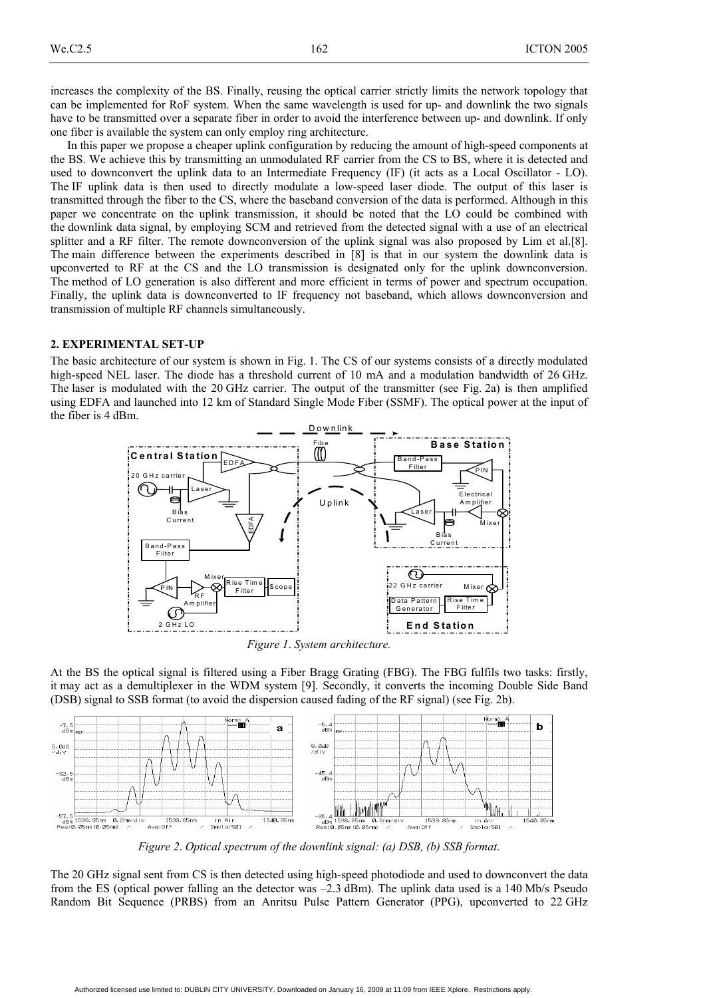increases the complexity of the BS. Finally, reusing the optical carrier strictly limits the network topology that can be implemented for RoF system. When the same wavelength is used for up- and downlink the two signals have to be transmitted over a separate fiber in order to avoid the interference between up- and downlink. If only one fiber is available the system can only employ ring architecture.

In this paper we propose a cheaper uplink configuration by reducing the amount of high-speed components at the BS. We achieve this by transmitting an unmodulated RF carrier from the CS to BS, where it is detected and used to downconvert the uplink data to an Intermediate Frequency (IF) (it acts as a Local Oscillator - LO). The IF uplink data is then used to directly modulate a low-speed laser diode. The output of this laser is transmitted through the fiber to the CS, where the baseband conversion of the data is performed. Although in this paper we concentrate on the uplink transmission, it should be noted that the LO could be combined with the downlink data signal, by employing SCM and retrieved from the detected signal with a use of an electrical splitter and a RF filter. The remote downconversion of the uplink signal was also proposed by Lim et al.[8]. The main difference between the experiments described in [8] is that in our system the downlink data is upconverted to RF at the CS and the LO transmission is designated only for the uplink downconversion. The method of LO generation is also different and more efficient in terms of power and spectrum occupation. Finally, the uplink data is downconverted to IF frequency not baseband, which allows downconversion and transmission of multiple RF channels simultaneously.

## **2. EXPERIMENTAL SET-UP**

The basic architecture of our system is shown in Fig. 1. The CS of our systems consists of a directly modulated high-speed NEL laser. The diode has a threshold current of 10 mA and a modulation bandwidth of 26 GHz. The laser is modulated with the 20 GHz carrier. The output of the transmitter (see Fig. 2a) is then amplified using EDFA and launched into 12 km of Standard Single Mode Fiber (SSMF). The optical power at the input of the fiber is 4 dBm.



*Figure 1*. *System architecture.* 

At the BS the optical signal is filtered using a Fiber Bragg Grating (FBG). The FBG fulfils two tasks: firstly, it may act as a demultiplexer in the WDM system [9]. Secondly, it converts the incoming Double Side Band (DSB) signal to SSB format (to avoid the dispersion caused fading of the RF signal) (see Fig. 2b).



*Figure 2*. *Optical spectrum of the downlink signal: (a) DSB, (b) SSB format*.

The 20 GHz signal sent from CS is then detected using high-speed photodiode and used to downconvert the data from the ES (optical power falling an the detector was –2.3 dBm). The uplink data used is a 140 Mb/s Pseudo Random Bit Sequence (PRBS) from an Anritsu Pulse Pattern Generator (PPG), upconverted to 22 GHz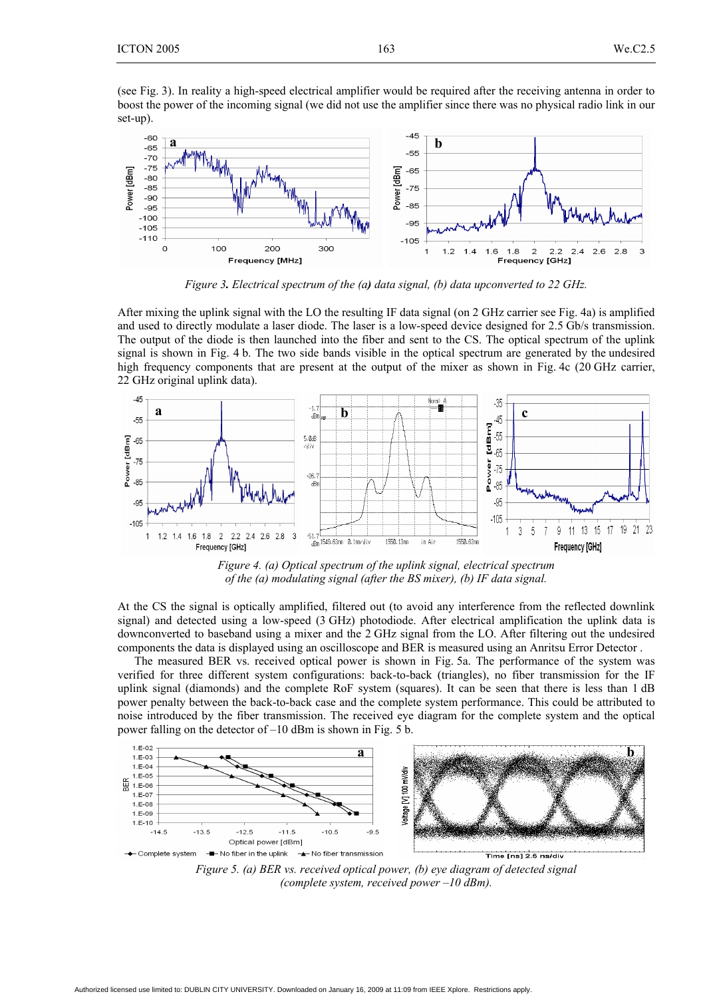(see Fig. 3). In reality a high-speed electrical amplifier would be required after the receiving antenna in order to boost the power of the incoming signal (we did not use the amplifier since there was no physical radio link in our set-up).



*Figure 3. Electrical spectrum of the (a) data signal, (b) data upconverted to 22 GHz.* 

After mixing the uplink signal with the LO the resulting IF data signal (on 2 GHz carrier see Fig. 4a) is amplified and used to directly modulate a laser diode. The laser is a low-speed device designed for 2.5 Gb/s transmission. The output of the diode is then launched into the fiber and sent to the CS. The optical spectrum of the uplink signal is shown in Fig. 4 b. The two side bands visible in the optical spectrum are generated by the undesired high frequency components that are present at the output of the mixer as shown in Fig. 4c (20 GHz carrier, 22 GHz original uplink data).



*Figure 4. (a) Optical spectrum of the uplink signal, electrical spectrum of the (a) modulating signal (after the BS mixer), (b) IF data signal.*

At the CS the signal is optically amplified, filtered out (to avoid any interference from the reflected downlink signal) and detected using a low-speed (3 GHz) photodiode. After electrical amplification the uplink data is downconverted to baseband using a mixer and the 2 GHz signal from the LO. After filtering out the undesired components the data is displayed using an oscilloscope and BER is measured using an Anritsu Error Detector .

The measured BER vs. received optical power is shown in Fig. 5a. The performance of the system was verified for three different system configurations: back-to-back (triangles), no fiber transmission for the IF uplink signal (diamonds) and the complete RoF system (squares). It can be seen that there is less than 1 dB power penalty between the back-to-back case and the complete system performance. This could be attributed to noise introduced by the fiber transmission. The received eye diagram for the complete system and the optical power falling on the detector of –10 dBm is shown in Fig. 5 b.



*Figure 5. (a) BER vs. received optical power, (b) eye diagram of detected signal (complete system, received power –10 dBm).*